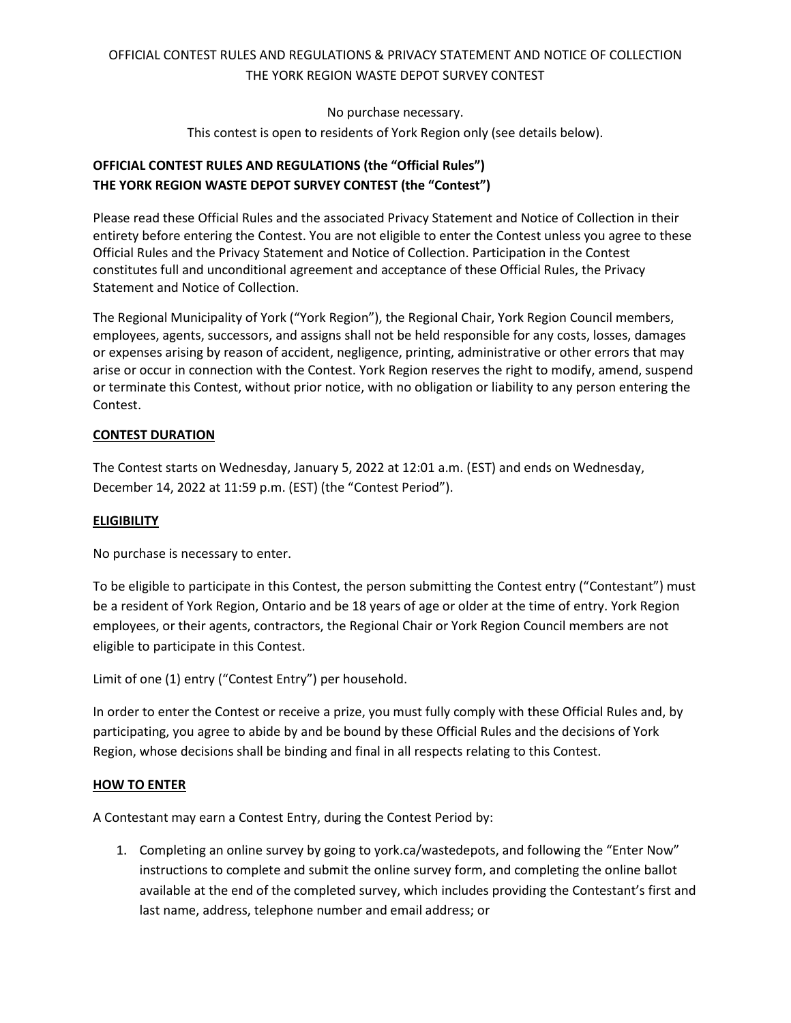No purchase necessary.

This contest is open to residents of York Region only (see details below).

### **OFFICIAL CONTEST RULES AND REGULATIONS (the "Official Rules") THE YORK REGION WASTE DEPOT SURVEY CONTEST (the "Contest")**

Please read these Official Rules and the associated Privacy Statement and Notice of Collection in their entirety before entering the Contest. You are not eligible to enter the Contest unless you agree to these Official Rules and the Privacy Statement and Notice of Collection. Participation in the Contest constitutes full and unconditional agreement and acceptance of these Official Rules, the Privacy Statement and Notice of Collection.

The Regional Municipality of York ("York Region"), the Regional Chair, York Region Council members, employees, agents, successors, and assigns shall not be held responsible for any costs, losses, damages or expenses arising by reason of accident, negligence, printing, administrative or other errors that may arise or occur in connection with the Contest. York Region reserves the right to modify, amend, suspend or terminate this Contest, without prior notice, with no obligation or liability to any person entering the Contest.

### **CONTEST DURATION**

The Contest starts on Wednesday, January 5, 2022 at 12:01 a.m. (EST) and ends on Wednesday, December 14, 2022 at 11:59 p.m. (EST) (the "Contest Period").

### **ELIGIBILITY**

No purchase is necessary to enter.

To be eligible to participate in this Contest, the person submitting the Contest entry ("Contestant") must be a resident of York Region, Ontario and be 18 years of age or older at the time of entry. York Region employees, or their agents, contractors, the Regional Chair or York Region Council members are not eligible to participate in this Contest.

```
Limit of one (1) entry ("Contest Entry") per household.
```
In order to enter the Contest or receive a prize, you must fully comply with these Official Rules and, by participating, you agree to abide by and be bound by these Official Rules and the decisions of York Region, whose decisions shall be binding and final in all respects relating to this Contest.

#### **HOW TO ENTER**

A Contestant may earn a Contest Entry, during the Contest Period by:

1. Completing an online survey by going to york.ca/wastedepots, and following the "Enter Now" instructions to complete and submit the online survey form, and completing the online ballot available at the end of the completed survey, which includes providing the Contestant's first and last name, address, telephone number and email address; or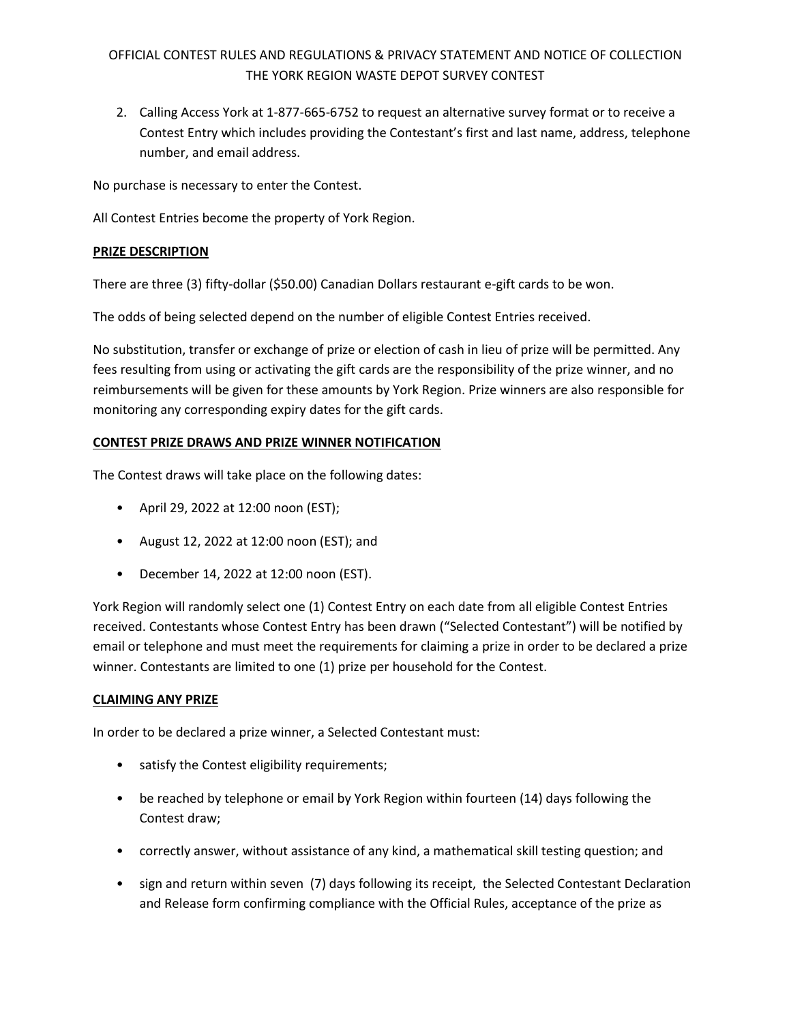2. Calling Access York at 1-877-665-6752 to request an alternative survey format or to receive a Contest Entry which includes providing the Contestant's first and last name, address, telephone number, and email address.

No purchase is necessary to enter the Contest.

All Contest Entries become the property of York Region.

#### **PRIZE DESCRIPTION**

There are three (3) fifty-dollar (\$50.00) Canadian Dollars restaurant e-gift cards to be won.

The odds of being selected depend on the number of eligible Contest Entries received.

No substitution, transfer or exchange of prize or election of cash in lieu of prize will be permitted. Any fees resulting from using or activating the gift cards are the responsibility of the prize winner, and no reimbursements will be given for these amounts by York Region. Prize winners are also responsible for monitoring any corresponding expiry dates for the gift cards.

### **CONTEST PRIZE DRAWS AND PRIZE WINNER NOTIFICATION**

The Contest draws will take place on the following dates:

- April 29, 2022 at 12:00 noon (EST);
- August 12, 2022 at 12:00 noon (EST); and
- December 14, 2022 at 12:00 noon (EST).

York Region will randomly select one (1) Contest Entry on each date from all eligible Contest Entries received. Contestants whose Contest Entry has been drawn ("Selected Contestant") will be notified by email or telephone and must meet the requirements for claiming a prize in order to be declared a prize winner. Contestants are limited to one (1) prize per household for the Contest.

#### **CLAIMING ANY PRIZE**

In order to be declared a prize winner, a Selected Contestant must:

- satisfy the Contest eligibility requirements;
- be reached by telephone or email by York Region within fourteen (14) days following the Contest draw;
- correctly answer, without assistance of any kind, a mathematical skill testing question; and
- sign and return within seven (7) days following its receipt, the Selected Contestant Declaration and Release form confirming compliance with the Official Rules, acceptance of the prize as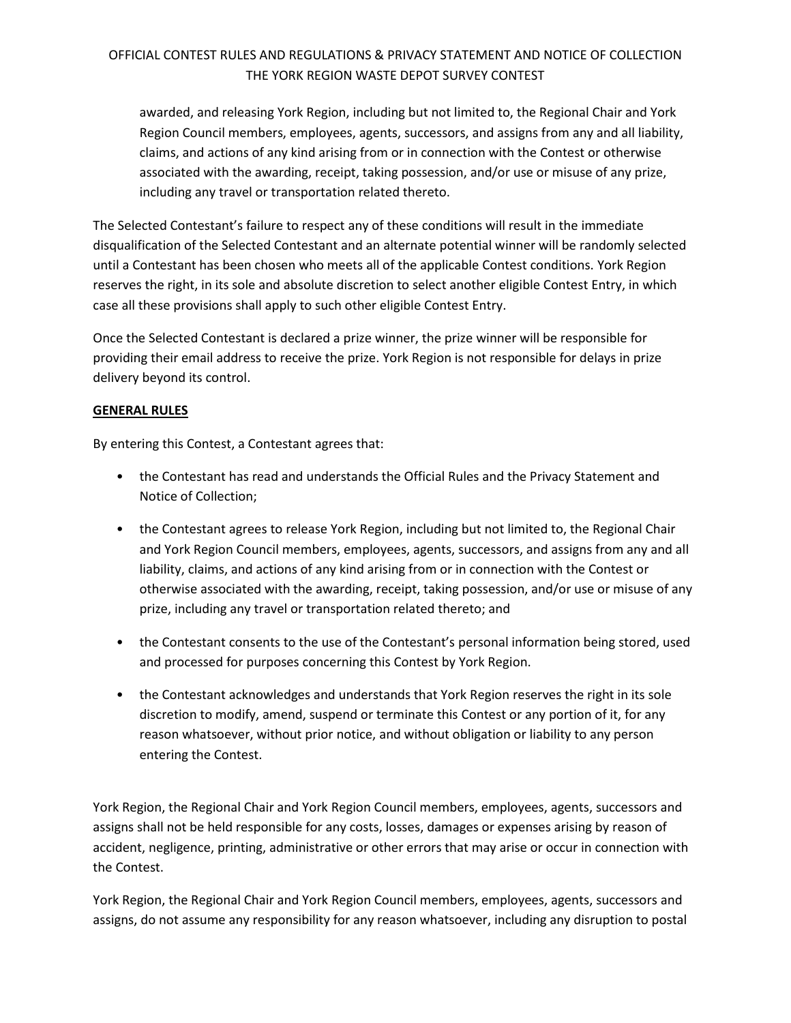awarded, and releasing York Region, including but not limited to, the Regional Chair and York Region Council members, employees, agents, successors, and assigns from any and all liability, claims, and actions of any kind arising from or in connection with the Contest or otherwise associated with the awarding, receipt, taking possession, and/or use or misuse of any prize, including any travel or transportation related thereto.

The Selected Contestant's failure to respect any of these conditions will result in the immediate disqualification of the Selected Contestant and an alternate potential winner will be randomly selected until a Contestant has been chosen who meets all of the applicable Contest conditions. York Region reserves the right, in its sole and absolute discretion to select another eligible Contest Entry, in which case all these provisions shall apply to such other eligible Contest Entry.

Once the Selected Contestant is declared a prize winner, the prize winner will be responsible for providing their email address to receive the prize. York Region is not responsible for delays in prize delivery beyond its control.

### **GENERAL RULES**

By entering this Contest, a Contestant agrees that:

- the Contestant has read and understands the Official Rules and the Privacy Statement and Notice of Collection;
- the Contestant agrees to release York Region, including but not limited to, the Regional Chair and York Region Council members, employees, agents, successors, and assigns from any and all liability, claims, and actions of any kind arising from or in connection with the Contest or otherwise associated with the awarding, receipt, taking possession, and/or use or misuse of any prize, including any travel or transportation related thereto; and
- the Contestant consents to the use of the Contestant's personal information being stored, used and processed for purposes concerning this Contest by York Region.
- the Contestant acknowledges and understands that York Region reserves the right in its sole discretion to modify, amend, suspend or terminate this Contest or any portion of it, for any reason whatsoever, without prior notice, and without obligation or liability to any person entering the Contest.

York Region, the Regional Chair and York Region Council members, employees, agents, successors and assigns shall not be held responsible for any costs, losses, damages or expenses arising by reason of accident, negligence, printing, administrative or other errors that may arise or occur in connection with the Contest.

York Region, the Regional Chair and York Region Council members, employees, agents, successors and assigns, do not assume any responsibility for any reason whatsoever, including any disruption to postal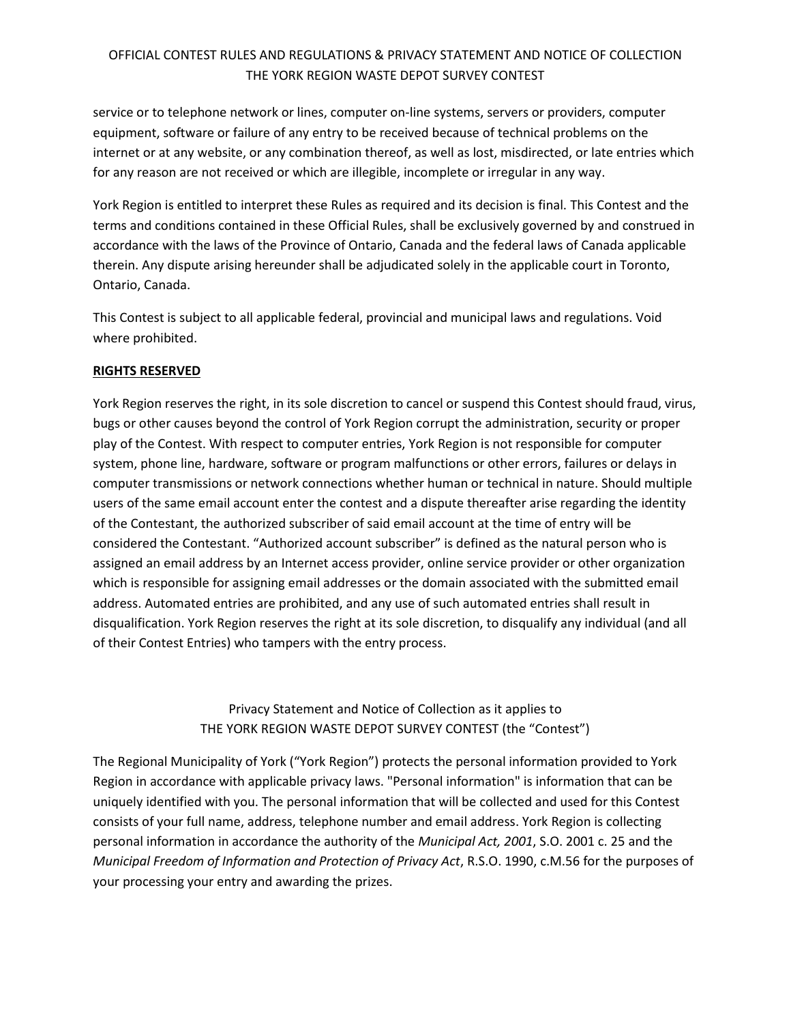service or to telephone network or lines, computer on-line systems, servers or providers, computer equipment, software or failure of any entry to be received because of technical problems on the internet or at any website, or any combination thereof, as well as lost, misdirected, or late entries which for any reason are not received or which are illegible, incomplete or irregular in any way.

York Region is entitled to interpret these Rules as required and its decision is final. This Contest and the terms and conditions contained in these Official Rules, shall be exclusively governed by and construed in accordance with the laws of the Province of Ontario, Canada and the federal laws of Canada applicable therein. Any dispute arising hereunder shall be adjudicated solely in the applicable court in Toronto, Ontario, Canada.

This Contest is subject to all applicable federal, provincial and municipal laws and regulations. Void where prohibited.

### **RIGHTS RESERVED**

York Region reserves the right, in its sole discretion to cancel or suspend this Contest should fraud, virus, bugs or other causes beyond the control of York Region corrupt the administration, security or proper play of the Contest. With respect to computer entries, York Region is not responsible for computer system, phone line, hardware, software or program malfunctions or other errors, failures or delays in computer transmissions or network connections whether human or technical in nature. Should multiple users of the same email account enter the contest and a dispute thereafter arise regarding the identity of the Contestant, the authorized subscriber of said email account at the time of entry will be considered the Contestant. "Authorized account subscriber" is defined as the natural person who is assigned an email address by an Internet access provider, online service provider or other organization which is responsible for assigning email addresses or the domain associated with the submitted email address. Automated entries are prohibited, and any use of such automated entries shall result in disqualification. York Region reserves the right at its sole discretion, to disqualify any individual (and all of their Contest Entries) who tampers with the entry process.

## Privacy Statement and Notice of Collection as it applies to THE YORK REGION WASTE DEPOT SURVEY CONTEST (the "Contest")

The Regional Municipality of York ("York Region") protects the personal information provided to York Region in accordance with applicable privacy laws. "Personal information" is information that can be uniquely identified with you. The personal information that will be collected and used for this Contest consists of your full name, address, telephone number and email address. York Region is collecting personal information in accordance the authority of the *Municipal Act, 2001*, S.O. 2001 c. 25 and the *Municipal Freedom of Information and Protection of Privacy Act*, R.S.O. 1990, c.M.56 for the purposes of your processing your entry and awarding the prizes.